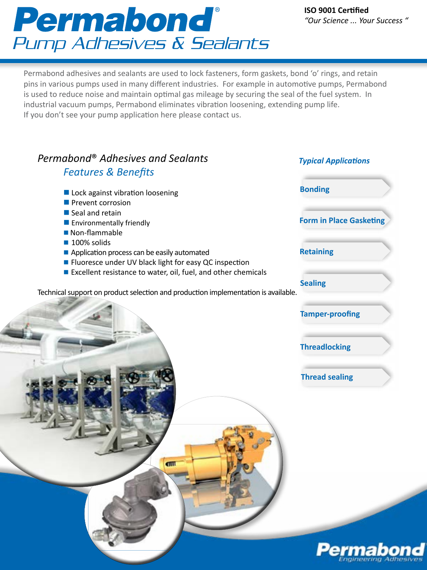# Permabond® Pump Adhesives & Sealants

**Bonding**

**Retaining**

**Form in Place Gasketing**

*Typical Applications*

Permabond adhesives and sealants are used to lock fasteners, form gaskets, bond 'o' rings, and retain pins in various pumps used in many different industries. For example in automotive pumps, Permabond is used to reduce noise and maintain optimal gas mileage by securing the seal of the fuel system. In industrial vacuum pumps, Permabond eliminates vibration loosening, extending pump life. If you don't see your pump application here please contact us.

## *Permabond*® *Adhesives and Sealants Features & Benefits*

## $\blacksquare$  Lock against vibration loosening

- $\blacksquare$  Prevent corrosion
- $\blacksquare$  Seal and retain
- $\blacksquare$  Environmentally friendly
- $\blacksquare$  Non-flammable
- $\blacksquare$  100% solids
- $\blacksquare$  Application process can be easily automated
- Fluoresce under UV black light for easy QC inspection
- Excellent resistance to water, oil, fuel, and other chemicals